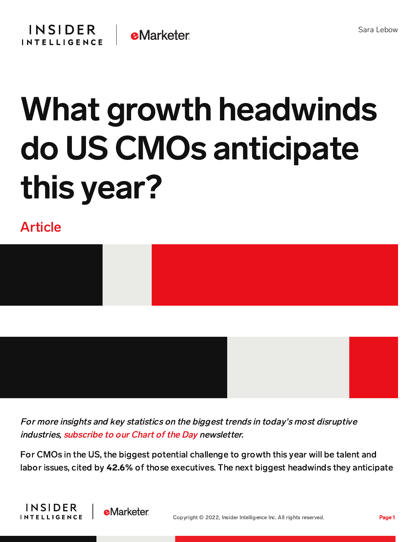

## What growth headwinds do US CMOs anticipate this year?

## Article



For more insights and key statistics on the biggest trends in today's most disruptive industries, [subscribe](https://www.businessinsider.com/intelligence/chart-of-the-day-newsletter?IR=T&itm_source=insiderintelligence&itm_medium=inline_cotd&itm_content=chart-of-the-day-newsletter) to our Chart of the Day newsletter.

For CMOs in the US, the biggest potential challenge to growth this year will be talent and labor issues, cited by 42.6% of those executives. The next biggest headwinds they anticipate